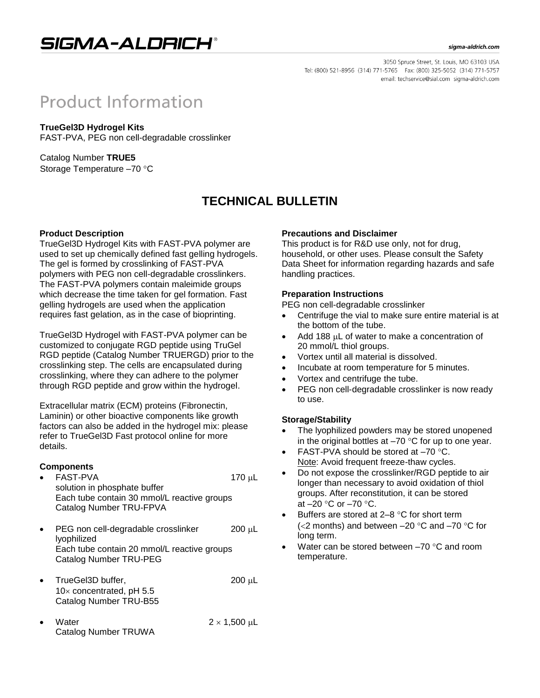

#### sigma-aldrich.com

3050 Spruce Street, St. Louis, MO 63103 USA Tel: (800) 521-8956 (314) 771-5765 Fax: (800) 325-5052 (314) 771-5757 email: techservice@sial.com sigma-aldrich.com

# **Product Information**

### **TrueGel3D Hydrogel Kits**

FAST-PVA, PEG non cell-degradable crosslinker

Catalog Number **TRUE5** Storage Temperature -70 °C

## **TECHNICAL BULLETIN**

### **Product Description**

TrueGel3D Hydrogel Kits with FAST-PVA polymer are used to set up chemically defined fast gelling hydrogels. The gel is formed by crosslinking of FAST-PVA polymers with PEG non cell-degradable crosslinkers. The FAST-PVA polymers contain maleimide groups which decrease the time taken for gel formation. Fast gelling hydrogels are used when the application requires fast gelation, as in the case of bioprinting.

TrueGel3D Hydrogel with FAST-PVA polymer can be customized to conjugate RGD peptide using TruGel RGD peptide (Catalog Number TRUERGD) prior to the crosslinking step. The cells are encapsulated during crosslinking, where they can adhere to the polymer through RGD peptide and grow within the hydrogel.

Extracellular matrix (ECM) proteins (Fibronectin, Laminin) or other bioactive components like growth factors can also be added in the hydrogel mix: please refer to TrueGel3D Fast protocol online for more details.

#### **Components**

- FAST-PVA 170 µL solution in phosphate buffer Each tube contain 30 mmol/L reactive groups Catalog Number TRU-FPVA
- $\bullet$  PEG non cell-degradable crosslinker 200 µL lyophilized Each tube contain 20 mmol/L reactive groups Catalog Number TRU-PEG
- TrueGel3D buffer, 200 µL  $10\times$  concentrated, pH 5.5 Catalog Number TRU-B55
- Water  $2 \times 1,500 \text{ }\mu\text{L}$ Catalog Number TRUWA

#### **Precautions and Disclaimer**

This product is for R&D use only, not for drug, household, or other uses. Please consult the Safety Data Sheet for information regarding hazards and safe handling practices.

#### **Preparation Instructions**

PEG non cell-degradable crosslinker

- Centrifuge the vial to make sure entire material is at the bottom of the tube.
- Add 188 µL of water to make a concentration of 20 mmol/L thiol groups.
- Vortex until all material is dissolved.
- Incubate at room temperature for 5 minutes.
- Vortex and centrifuge the tube.
- PEG non cell-degradable crosslinker is now ready to use.

### **Storage/Stability**

- The lyophilized powders may be stored unopened in the original bottles at  $-70$  °C for up to one year.
- FAST-PVA should be stored at  $-70$  °C. Note: Avoid frequent freeze-thaw cycles.
- Do not expose the crosslinker/RGD peptide to air longer than necessary to avoid oxidation of thiol groups. After reconstitution, it can be stored at  $-20$  °C or  $-70$  °C.
- Buffers are stored at  $2-8$  °C for short term ( $<$ 2 months) and between –20 °C and –70 °C for long term.
- Water can be stored between  $-70$  °C and room temperature.